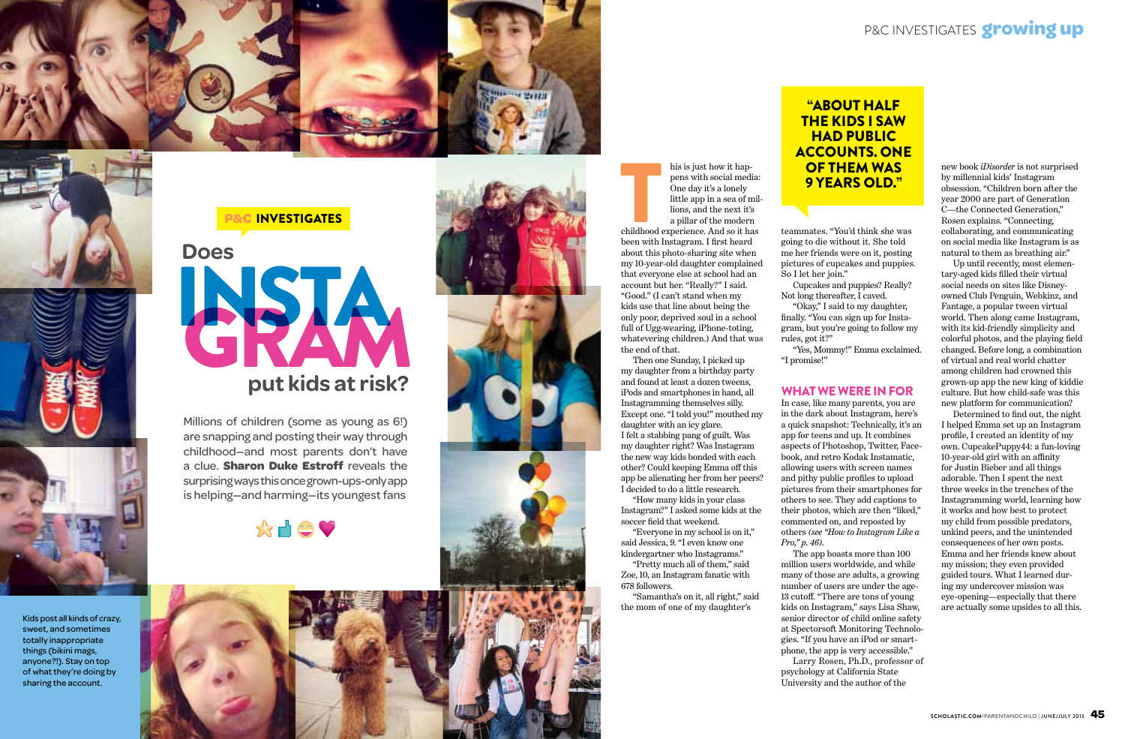his is just how it hap pens with social media: One day it's a lonely little app in a sea of mil lions, and the next it's a pillar of the modern

childhood experience. And so it has been with Instagram. I first heard about this photo-sharing site when my 10-year-old daughter complained that everyone else at school had an account but her. "Really?" I said. "Good." (I can't stand when my kids use that line about being the only poor, deprived soul in a school full of Ugg-wearing, iPhone-toting, whatevering children.) And that was the end of that. Example 1<br>
Seen with<br>
the sensuith<br>  $\frac{1}{2}$ 

Then one Sunday, I picked up my daughter from a birthday party and found at least a dozen tweens, iPods and smartphones in hand, all Instagramming themselves silly. Except one. "I told you!" mouthed my daughter with an icy glare. I felt a stabbing pang of guilt. Was my daughter right? Was Instagram the new way kids bonded with each other? Could keeping Emma off this app be alienating her from her peers? I decided to do a little research. "How many kids in your class

Instagram?" I asked some kids at the soccer field that weekend.

"Everyone in my school is on it," said Jessica, 9. "I even know one kindergartner who Instagrams."

"Pretty much all of them," said Zoe, 10, an Instagram fanatic with 678 followers.

"Samantha's on it, all right," said the mom of one of my daughter's

teammates. "You'd think she was going to die without it. She told me her friends were on it, posting pictures of cupcakes and puppies. So I let her join."

Cupcakes and puppies? Really? Not long thereafter, I caved.

"Okay," I said to my daughter, finally. "You can sign up for Insta gram, but you're going to follow my rules, got it?"

"Yes, Mommy!" Emma exclaimed. "I promise!"

### what we were in for

In case, like many parents, you are in the dark about Instagram, here's a quick snapshot: Technically, it's an app for teens and up. It combines aspects of Photoshop, Twitter, Face book, and retro Kodak Instamatic, allowing users with screen names and pithy public profiles to upload pictures from their smartphones for others to see. They add captions to their photos, which are then "liked," commented on, and reposted by others *(see "How to Instagram Like a Pro," p. 46)* .

## "about half the kids i saw **HAD PUBLIC** accounts. ONe **OF THEM WAS 9 YEARS OLD."**

The app boasts more than 100 million users worldwide, and while many of those are adults, a growing number of users are under the age-13 cutoff. "There are tons of young kids on Instagram," says Lisa Shaw, senior director of child online safety at Spectorsoft Monitoring Technolo gies. "If you have an iPod or smart phone, the app is very accessible." Larry Rosen, Ph.D., professor of psychology at California State University and the author of the



new book *iDisorder* is not surprised by millennial kids' Instagram obsession. "Children born after the year 2000 are part of Generation C—the Connected Generation," Rosen explains. "Connecting, collaborating, and communicating on social media like Instagram is as natural to them as breathing air."

Up until recently, most elemen tary-aged kids filled their virtual social needs on sites like Disneyowned Club Penguin, Webkinz, and Fantage, a popular tween virtual world. Then along came Instagram, with its kid-friendly simplicity and colorful photos, and the playing field changed. Before long, a combination of virtual and real world chatter among children had crowned this grown-up app the new king of kiddie culture. But how child-safe was this new platform for communication?

Determined to find out, the night I helped Emma set up an Instagram profile, I created an identity of my own. CupcakePuppy44: a fun-loving 10-year-old girl with an affinity for Justin Bieber and all things adorable. Then I spent the next three weeks in the trenches of the Instagramming world, learning how it works and how best to protect my child from possible predators, unkind peers, and the unintended consequences of her own posts. Emma and her friends knew about my mission; they even provided guided tours. What I learned dur ing my undercover mission was eye-opening—especially that there are actually some upsides to all this.

## P&C investigates **growing up**





Kids post all kinds of crazy, sweet, and sometimes totally inappropriate things (bikini mags, anyone?!). Stay on top of what they're doing by sharing the account.

Millions of children (some as young as 6!) are snapping and posting their way through childhood—and most parents don't have a clue. **Sharon Duke Estroff** reveals the surprising ways this once grown-ups-only app is helping—and harming—its youngest fans





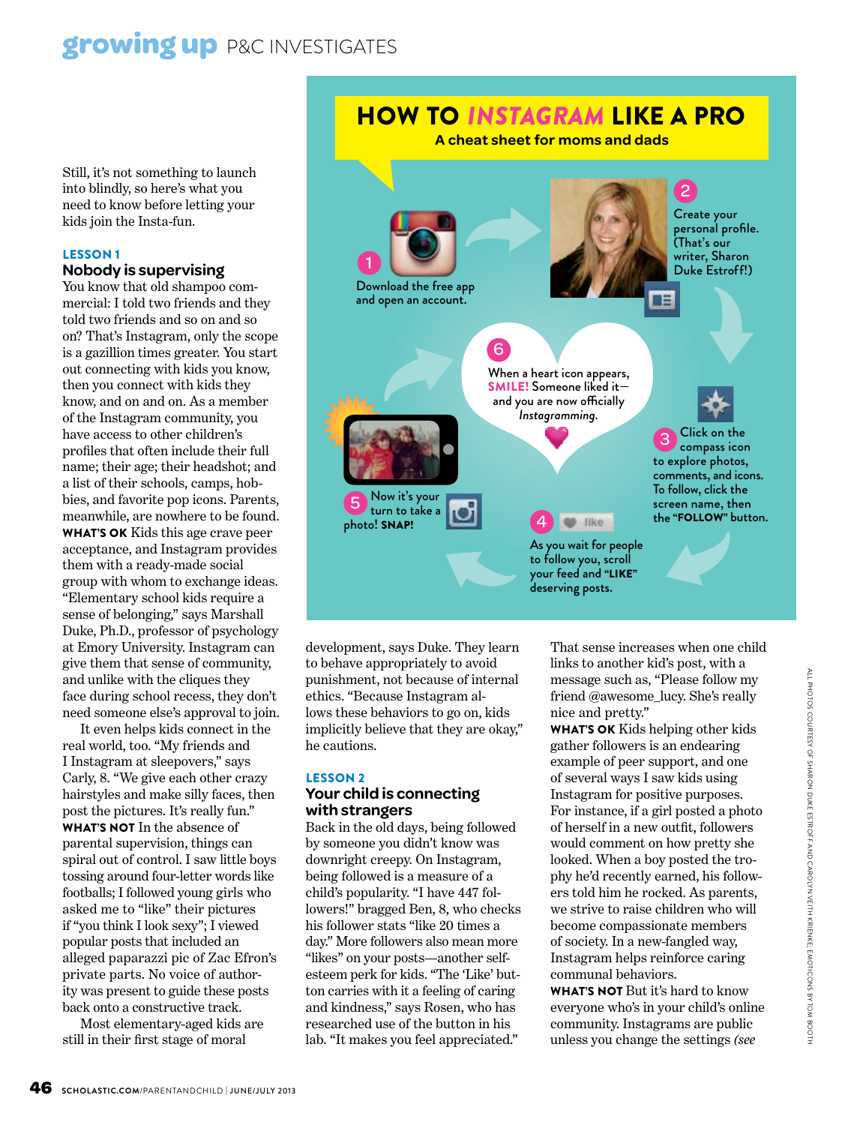## **growing up** P&C INVESTIGATES

Still, it's not something to launch into blindly, so here's what you need to know before letting your kids join the Insta-fun.

#### Lesson 1

#### **Nobody is supervising**

You know that old shampoo commercial: I told two friends and they told two friends and so on and so on? That's Instagram, only the scope is a gazillion times greater. You start out connecting with kids you know, then you connect with kids they know, and on and on. As a member of the Instagram community, you have access to other children's profiles that often include their full name; their age; their headshot; and a list of their schools, camps, hobbies, and favorite pop icons. Parents, meanwhile, are nowhere to be found. WHAT'S OK Kids this age crave peer acceptance, and Instagram provides them with a ready-made social group with whom to exchange ideas. "Elementary school kids require a sense of belonging," says Marshall Duke, Ph.D., professor of psychology at Emory University. Instagram can give them that sense of community, and unlike with the cliques they face during school recess, they don't need someone else's approval to join.

It even helps kids connect in the real world, too. "My friends and I Instagram at sleepovers," says Carly, 8. "We give each other crazy hairstyles and make silly faces, then post the pictures. It's really fun." WHAT'S NOT In the absence of parental supervision, things can spiral out of control. I saw little boys tossing around four-letter words like footballs; I followed young girls who asked me to "like" their pictures if "you think I look sexy"; I viewed popular posts that included an alleged paparazzi pic of Zac Efron's private parts. No voice of authority was present to guide these posts back onto a constructive track.

Most elementary-aged kids are still in their first stage of moral



development, says Duke. They learn to behave appropriately to avoid punishment, not because of internal ethics. "Because Instagram allows these behaviors to go on, kids implicitly believe that they are okay," he cautions.

#### Lesson 2

#### **Your child is connecting with strangers**

Back in the old days, being followed by someone you didn't know was downright creepy. On Instagram, being followed is a measure of a child's popularity. "I have 447 followers!" bragged Ben, 8, who checks his follower stats "like 20 times a day." More followers also mean more "likes" on your posts—another selfesteem perk for kids. "The 'Like' button carries with it a feeling of caring and kindness," says Rosen, who has researched use of the button in his lab. "It makes you feel appreciated."

That sense increases when one child links to another kid's post, with a message such as, "Please follow my friend @awesome\_lucy. She's really nice and pretty."

WHAT'S OK Kids helping other kids gather followers is an endearing example of peer support, and one of several ways I saw kids using Instagram for positive purposes. For instance, if a girl posted a photo of herself in a new outfit, followers would comment on how pretty she looked. When a boy posted the trophy he'd recently earned, his followers told him he rocked. As parents, we strive to raise children who will become compassionate members of society. In a new-fangled way, Instagram helps reinforce caring communal behaviors.

WHAT'S NOT But it's hard to know everyone who's in your child's online community. Instagrams are public unless you change the settings *(see*